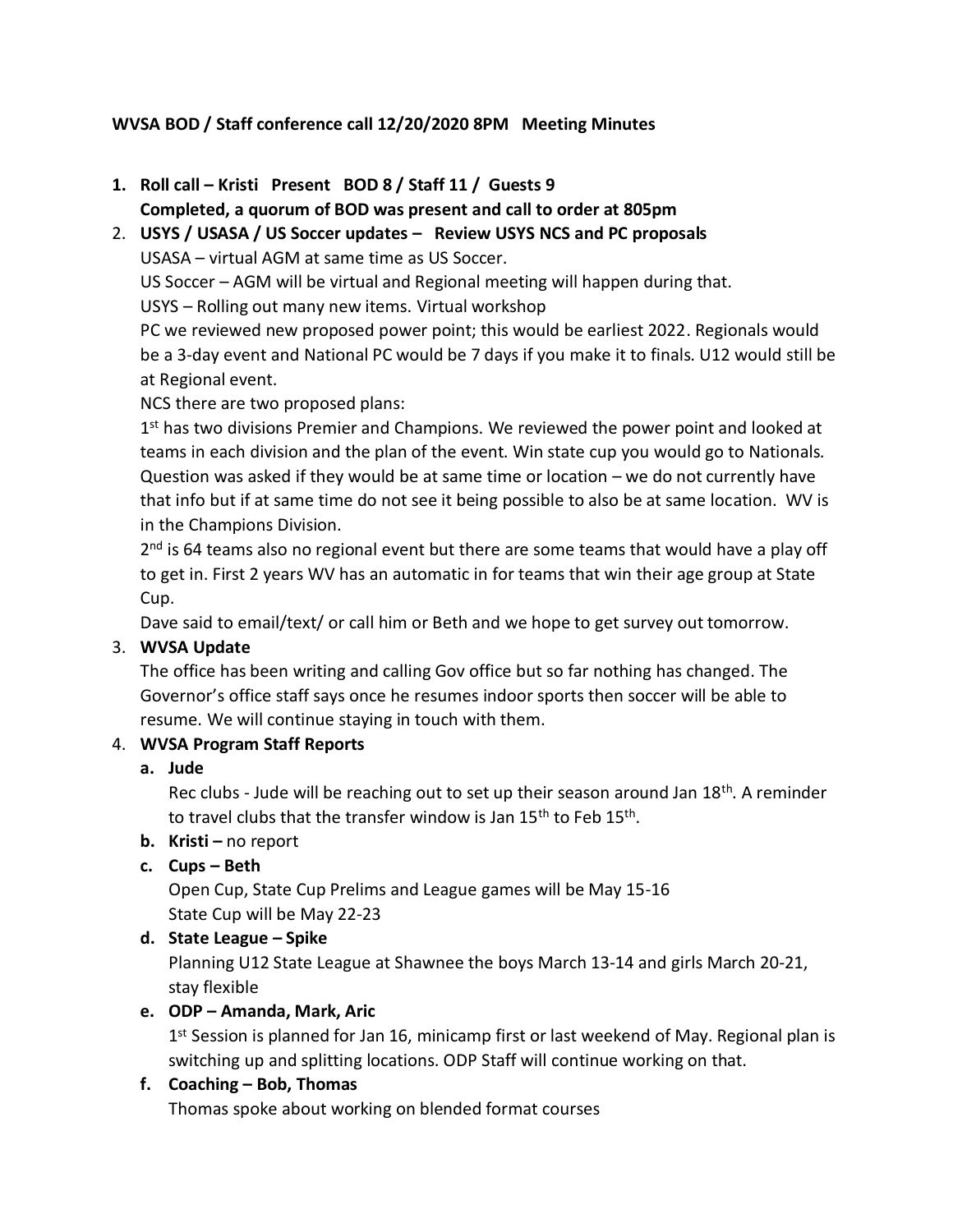## **WVSA BOD / Staff conference call 12/20/2020 8PM Meeting Minutes**

**1. Roll call – Kristi Present BOD 8 / Staff 11 / Guests 9**

**Completed, a quorum of BOD was present and call to order at 805pm**

2. **USYS / USASA / US Soccer updates – Review USYS NCS and PC proposals** USASA – virtual AGM at same time as US Soccer.

US Soccer – AGM will be virtual and Regional meeting will happen during that.

USYS – Rolling out many new items. Virtual workshop

PC we reviewed new proposed power point; this would be earliest 2022. Regionals would be a 3-day event and National PC would be 7 days if you make it to finals. U12 would still be at Regional event.

NCS there are two proposed plans:

1<sup>st</sup> has two divisions Premier and Champions. We reviewed the power point and looked at teams in each division and the plan of the event. Win state cup you would go to Nationals. Question was asked if they would be at same time or location – we do not currently have that info but if at same time do not see it being possible to also be at same location. WV is in the Champions Division.

2<sup>nd</sup> is 64 teams also no regional event but there are some teams that would have a play off to get in. First 2 years WV has an automatic in for teams that win their age group at State Cup.

Dave said to email/text/ or call him or Beth and we hope to get survey out tomorrow.

# 3. **WVSA Update**

The office has been writing and calling Gov office but so far nothing has changed. The Governor's office staff says once he resumes indoor sports then soccer will be able to resume. We will continue staying in touch with them.

## 4. **WVSA Program Staff Reports**

## **a. Jude**

Rec clubs - Jude will be reaching out to set up their season around Jan 18th. A reminder to travel clubs that the transfer window is Jan 15<sup>th</sup> to Feb 15<sup>th</sup>.

# **b. Kristi –** no report

**c. Cups – Beth**

Open Cup, State Cup Prelims and League games will be May 15-16 State Cup will be May 22-23

## **d. State League – Spike**

Planning U12 State League at Shawnee the boys March 13-14 and girls March 20-21, stay flexible

## **e. ODP – Amanda, Mark, Aric**

1<sup>st</sup> Session is planned for Jan 16, minicamp first or last weekend of May. Regional plan is switching up and splitting locations. ODP Staff will continue working on that.

# **f. Coaching – Bob, Thomas**

Thomas spoke about working on blended format courses